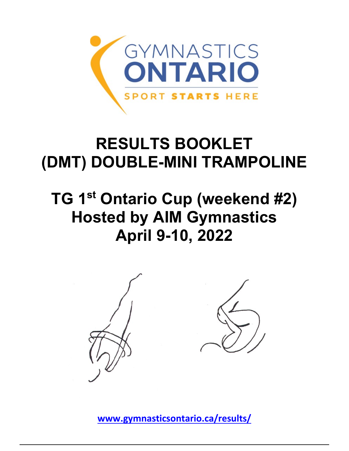

# **RESULTS BOOKLET (DMT) DOUBLE-MINI TRAMPOLINE**

# **TG 1st Ontario Cup (weekend #2) Hosted by AIM Gymnastics April 9-10, 2022**



**[www.gymnasticsontario.ca/results/](https://www.gymnasticsontario.ca/results/)**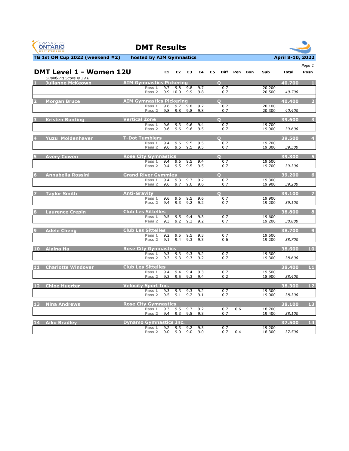| <b>GYMNASTICS</b>        |  |
|--------------------------|--|
| <b>ONTARIO</b>           |  |
| <b>SPORT STARTS HERE</b> |  |



|      |                                                            |                                 |                             |            |            |            |            |    |             |     |     |                  |              | Page 1                  |
|------|------------------------------------------------------------|---------------------------------|-----------------------------|------------|------------|------------|------------|----|-------------|-----|-----|------------------|--------------|-------------------------|
|      | <b>DMT Level 1 - Women 12U</b><br>Qualifying Score is 39.0 |                                 |                             | E1         | E2         | E3         | E4         | E5 | <b>Diff</b> | Pen | Bon | Sub              | <b>Total</b> | Posn                    |
|      | <b>Julianne McKeown</b>                                    | <b>AIM Gymnastics Pickering</b> |                             |            |            |            |            |    | $\Omega$    |     |     |                  | 40.700       | - 1                     |
|      |                                                            |                                 | Pass 1                      | 9.7        | 9.8        | 9.8        | 9.7        |    | 0.7<br>0.7  |     |     | 20.200           |              |                         |
|      |                                                            |                                 | Pass <sub>2</sub>           |            | 9.9 10.0   | 9.9        | 9.8        |    |             |     |     | 20.500           | 40.700       |                         |
|      | 2 Morgan Bruce                                             | <b>AIM Gymnastics Pickering</b> |                             |            |            |            |            |    | $\Omega$    |     |     |                  | 40.400       | $\overline{\mathbf{2}}$ |
|      |                                                            |                                 | Pass 1                      | 9.6        | 9.7<br>9.8 | 9.8<br>9.8 | 9.7        |    | 0.7<br>0.7  |     |     | 20.100           |              |                         |
|      |                                                            |                                 | Pass 2                      | 9.8        |            |            | 9.8        |    |             |     |     | 20.300           | 40.400       |                         |
|      | <b>Kristen Bunting</b>                                     | <b>Vertical Zone</b>            |                             |            |            |            |            |    | $\Omega$    |     |     |                  | 39,600       | $\overline{\mathbf{3}}$ |
|      |                                                            |                                 | Pass 1<br>Pass 2            | 9.6<br>9.6 | 9.3<br>9.6 | 9.6<br>9.6 | 9.4<br>9.5 |    | 0.7<br>0.7  |     |     | 19.700<br>19.900 | 39.600       |                         |
|      |                                                            |                                 |                             |            |            |            |            |    |             |     |     |                  |              |                         |
|      | <b>Yuzu Moldenhaver</b>                                    | <b>T-Dot Tumblers</b>           |                             |            |            |            |            |    | $\Omega$    |     |     |                  | 39.500       | $\overline{4}$          |
|      |                                                            |                                 | Pass 1<br>Pass 2            | 9.4<br>9.6 | 9.6<br>9.6 | 9.5<br>9.5 | 9.5<br>9.5 |    | 0.7<br>0.7  |     |     | 19.700<br>19.800 | 39.500       |                         |
|      |                                                            |                                 |                             |            |            |            |            |    |             |     |     |                  |              |                         |
|      | <b>Avery Cowen</b>                                         | <b>Rose City Gymnastics</b>     |                             |            |            |            |            |    | $\Omega$    |     |     |                  | 39.300       | 5                       |
|      |                                                            |                                 | Pass 1<br>Pass <sub>2</sub> | 9.4<br>9.4 | 9.6<br>9.5 | 9.5<br>9.5 | 9.4<br>9.5 |    | 0.7<br>0.7  |     |     | 19.600<br>19.700 | 39.300       |                         |
|      |                                                            |                                 |                             |            |            |            |            |    |             |     |     |                  |              |                         |
|      | <b>Annabella Rossini</b>                                   | <b>Grand River Gymmies</b>      |                             |            |            |            |            |    | $\Omega$    |     |     |                  | 39.200       | 6                       |
|      |                                                            |                                 | Pass 1<br>Pass <sub>2</sub> | 9.4<br>9.6 | 9.3<br>9.7 | 9.3<br>9.6 | 9.2<br>9.6 |    | 0.7<br>0.7  |     |     | 19.300<br>19.900 | 39.200       |                         |
|      |                                                            |                                 |                             |            |            |            |            |    |             |     |     |                  |              |                         |
|      | <b>Taylor Smith</b>                                        | <b>Anti-Gravity</b>             |                             |            |            |            |            |    | $\Omega$    |     |     |                  | 39.100       |                         |
|      |                                                            |                                 | Pass 1<br>Pass <sub>2</sub> | 9.6<br>9.4 | 9.6<br>9.3 | 9.5<br>9.2 | 9.6<br>9.2 |    | 0.7<br>0.7  |     |     | 19.900<br>19.200 | 39.100       |                         |
|      |                                                            |                                 |                             |            |            |            |            |    |             |     |     |                  |              |                         |
|      | <b>Laurence Crepin</b>                                     | <b>Club Les Sittelles</b>       |                             |            |            |            |            |    |             |     |     |                  | 38,800       | $\bf{8}$                |
|      |                                                            |                                 | Pass 1<br>Pass <sub>2</sub> | 9.5<br>9.3 | 9.5<br>9.2 | 9.4<br>9.3 | 9.3<br>9.2 |    | 0.7<br>0.7  |     |     | 19.600<br>19.200 | 38.800       |                         |
|      |                                                            |                                 |                             |            |            |            |            |    |             |     |     |                  |              |                         |
|      | <b>Adele Cheng</b>                                         | <b>Club Les Sittelles</b>       | Pass 1                      | 9.2        | 9.5        | 9.5        | 9.3        |    | 0.7         |     |     | 19.500           | 38.700       | $\Box$                  |
|      |                                                            |                                 | Pass <sub>2</sub>           | 9.1        | 9.4        | 9.3        | 9.3        |    | 0.6         |     |     | 19.200           | 38.700       |                         |
|      |                                                            |                                 |                             |            |            |            |            |    |             |     |     |                  |              |                         |
|      | 10 Alaina Ha                                               | <b>Rose City Gymnastics</b>     | Pass 1                      | 9.3        | 9.3        | 9.3        | 9.2        |    | 0.7         |     |     | 19.300           | 38.600       | 10                      |
|      |                                                            |                                 | Pass <sub>2</sub>           | 9.3        | 9.3        | 9.3        | 9.2        |    | 0.7         |     |     | 19.300           | 38.600       |                         |
|      |                                                            |                                 |                             |            |            |            |            |    |             |     |     |                  |              |                         |
| 11   | <b>Charlotte Windover</b>                                  | <b>Club Les Sittelles</b>       | Pass 1                      | 9.4        | 9.4        | 9.4        | 9.3        |    | 0.7         |     |     | 19.500           | 38.400       | 11                      |
|      |                                                            |                                 | Pass <sub>2</sub>           | 9.3        | 9.5        | 9.3        | 9.4        |    | 0.2         |     |     | 18.900           | 38.400       |                         |
|      |                                                            |                                 |                             |            |            |            |            |    |             |     |     |                  |              |                         |
| $12$ | <b>Chloe Huerter</b>                                       | <b>Velocity Sport Inc.</b>      | Pass 1                      | 9.3        | 9.3        | 9.3        | 9.2        |    | 0.7         |     |     | 19.300           | 38,300       | 12                      |
|      |                                                            |                                 | Pass <sub>2</sub>           | 9.5        | 9.1        | 9.2        | 9.1        |    | 0.7         |     |     | 19.000           | 38.300       |                         |
|      |                                                            | <b>Rose City Gymnastics</b>     |                             |            |            |            |            |    |             |     |     |                  |              | 13                      |
| 13   | <b>Nina Andrews</b>                                        |                                 | Pass 1                      | 9.3        | 9.5        | 9.3        | 9.2        |    | 0.7         | 0.6 |     | 18.700           | 38.100       |                         |
|      |                                                            |                                 | Pass <sub>2</sub>           | 9.4        | 9.3        | 9.5        | 9.3        |    | 0.7         |     |     | 19.400           | 38.100       |                         |
|      | 14 Aiko Bradley                                            | <b>Dynamo Gymnastics Inc.</b>   |                             |            |            |            |            |    |             |     |     |                  | 37.500       | 14                      |
|      |                                                            |                                 | Pass 1                      | 9.2        | 9.3        | 9.2        | 9.3        |    | 0.7         |     |     | 19.200           |              |                         |
|      |                                                            |                                 | Pass 2                      | 9.0        | 9.0        | 9.0        | 9.0        |    | 0.7         | 0.4 |     | 18.300           | 37.500       |                         |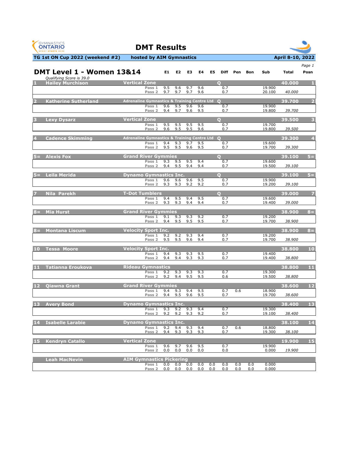



|                 | <b>DMT Level 1 - Women 13&amp;14</b><br>Qualifying Score is 39.0 |                      |                                                         | E1         | E <sub>2</sub> | E3         | E4         | E5  | Diff            | Pen | Bon | Sub              | Total  | Page 1<br>Posn          |
|-----------------|------------------------------------------------------------------|----------------------|---------------------------------------------------------|------------|----------------|------------|------------|-----|-----------------|-----|-----|------------------|--------|-------------------------|
|                 | <b>Hailey Murchison</b>                                          | <b>Vertical Zone</b> |                                                         |            |                |            |            |     | $\Omega$        |     |     |                  | 40.000 |                         |
|                 |                                                                  |                      | Pass 1<br>Pass <sub>2</sub>                             | 9.5<br>9.7 | 9.6<br>9.7     | 9.7<br>9.7 | 9.6<br>9.6 |     | 0.7<br>0.7      |     |     | 19.900<br>20.100 | 40.000 |                         |
|                 |                                                                  |                      |                                                         |            |                |            |            |     |                 |     |     |                  |        |                         |
| $\overline{2}$  | <b>Katherine Sutherland</b>                                      |                      | Adrenaline Gymnastics & Training Centre Ltd 0<br>Pass 1 | 9.6        | 9.5            | 9.6        | 9.6        |     | 0.7             |     |     | 19.900           | 39.700 | $\overline{2}$          |
|                 |                                                                  |                      | Pass 2                                                  | 9.4        | 9.7            | 9.6        | 9.5        |     | 0.7             |     |     | 19.800           | 39.700 |                         |
|                 | <b>Lexy Dysarz</b>                                               | <b>Vertical Zone</b> |                                                         |            |                |            |            |     | $\Omega$        |     |     |                  | 39.500 | $\overline{\mathbf{3}}$ |
|                 |                                                                  |                      | Pass 1                                                  | 9.5        | 9.5            | 9.5        | 9.5        |     | 0.7             |     |     | 19.700           | 39.500 |                         |
|                 |                                                                  |                      | Pass <sub>2</sub>                                       | 9.6        | 9.5            | 9.5        | 9.6        |     | 0.7             |     |     | 19.800           |        |                         |
|                 | <b>Cadence Skimming</b>                                          |                      | <b>Adrenaline Gymnastics &amp; Training Centre Ltd</b>  |            |                |            |            |     | $\Omega$        |     |     |                  | 39.300 | $\overline{4}$          |
|                 |                                                                  |                      | Pass 1<br>Pass 2                                        | 9.4<br>9.5 | 9.3<br>9.5     | 9.7<br>9.6 | 9.5<br>9.5 |     | 0.7<br>0.7      |     |     | 19.600<br>19.700 | 39.300 |                         |
| $5 =$           | <b>Alexis Fox</b>                                                |                      | <b>Grand River Gymmies</b>                              |            |                |            |            |     | $\Omega$        |     |     |                  | 39.100 | $5 =$                   |
|                 |                                                                  |                      | Pass 1                                                  | 9.3        | 9.5            | 9.5        | 9.4        |     | 0.7             |     |     | 19.600           |        |                         |
|                 |                                                                  |                      | Pass <sub>2</sub>                                       | 9.4        | 9.5            | 9.4        | 9.4        |     | 0.7             |     |     | 19.500           | 39.100 |                         |
|                 | 5= Leila Merida                                                  |                      | <b>Dynamo Gymnastics Inc.</b>                           |            |                |            |            |     | n               |     |     |                  | 39.100 | $5 =$                   |
|                 |                                                                  |                      | Pass $1$<br>Pass <sub>2</sub>                           | 9.6<br>9.3 | 9.6<br>9.3     | 9.6<br>9.2 | 9.5<br>9.2 |     | 0.7<br>0.7      |     |     | 19.900<br>19.200 | 39.100 |                         |
|                 |                                                                  |                      |                                                         |            |                |            |            |     |                 |     |     |                  |        |                         |
|                 | Nila Parekh                                                      |                      | <b>T-Dot Tumblers</b><br>Pass 1                         | 9.4        | 9.5            | 9.4        | 9.5        |     | $\Omega$<br>0.7 |     |     | 19.600           | 39,000 | -7                      |
|                 |                                                                  |                      | Pass 2                                                  | 9.3        | 9.3            | 9.4        | 9.4        |     | 0.7             |     |     | 19.400           | 39.000 |                         |
| $8 =$           | <b>Mia Hurst</b>                                                 |                      | <b>Grand River Gymmies</b>                              |            |                |            |            |     |                 |     |     |                  | 38.900 | $8 =$                   |
|                 |                                                                  |                      | Pass 1                                                  | 9.1        | 9.3            | 9.3        | 9.2        |     | 0.7             |     |     | 19.200           |        |                         |
|                 |                                                                  |                      | Pass <sub>2</sub>                                       | 9.4        | 9.5            | 9.5        | 9.5        |     | 0.7             |     |     | 19.700           | 38.900 |                         |
| $8 =$           | <b>Montana Liscum</b>                                            |                      | <b>Velocity Sport Inc.</b>                              |            |                |            |            |     |                 |     |     |                  | 38,900 | $8 =$                   |
|                 |                                                                  |                      | Pass 1<br>Pass 2                                        | 9.2<br>9.5 | 9.2<br>9.5     | 9.3<br>9.6 | 9.4<br>9.4 |     | 0.7<br>0.7      |     |     | 19.200<br>19.700 | 38.900 |                         |
|                 |                                                                  |                      |                                                         |            |                |            |            |     |                 |     |     |                  |        |                         |
| 10 <sup>°</sup> | Tessa Moore                                                      |                      | <b>Velocity Sport Inc.</b><br>Pass 1                    | 9.4        | 9.3            | 9.3        | 9.5        |     | 0.7             |     |     | 19.400           | 38.800 | 10                      |
|                 |                                                                  |                      | Pass <sub>2</sub>                                       | 9.4        | 9.4            | 9.3        | 9.3        |     | 0.7             |     |     | 19.400           | 38.800 |                         |
|                 | 11 Tatianna Eroukova                                             |                      | <b>Rideau Gymnastics</b>                                |            |                |            |            |     |                 |     |     |                  | 38,800 | 11                      |
|                 |                                                                  |                      | Pass 1                                                  | 9.2        | 9.3            | 9.3        | 9.3        |     | 0.7             |     |     | 19.300           |        |                         |
|                 |                                                                  |                      | Pass <sub>2</sub>                                       | 9.2        | 9.4            | 9.5        | 9.5        |     | 0.6             |     |     | 19.500           | 38.800 |                         |
| <b>12</b>       | <b>Oiawna Grant</b>                                              |                      | <b>Grand River Gymmies</b>                              |            |                |            |            |     |                 |     |     |                  | 38,600 | 12                      |
|                 |                                                                  |                      | Pass 1<br>Pass 2                                        | 9.4<br>9.4 | 9.3<br>9.5     | 9.4<br>9.6 | 9.5<br>9.5 |     | 0.7<br>0.7      | 0.6 |     | 18.900<br>19.700 | 38.600 |                         |
| 13              | <b>Avery Bond</b>                                                |                      | <b>Dynamo Gymnastics Inc.</b>                           |            |                |            |            |     |                 |     |     |                  | 38.400 | 13                      |
|                 |                                                                  |                      | Pass 1                                                  | 9.3        | 9.2            | 9.3        | 9.4        |     | 0.7             |     |     | 19.300           |        |                         |
|                 |                                                                  |                      | Pass <sub>2</sub>                                       | 9.2        | 9.2            | 9.3        | 9.2        |     | 0.7             |     |     | 19.100           | 38,400 |                         |
| 14              | <b>Isabelle Larabie</b>                                          |                      | <b>Dynamo Gymnastics Inc.</b>                           |            |                |            |            |     |                 |     |     |                  | 38.100 | 14                      |
|                 |                                                                  |                      | Pass 1<br>Pass <sub>2</sub>                             | 9.2<br>9.4 | 9.4<br>9.3     | 9.3<br>9.3 | 9.4<br>9.3 |     | 0.7<br>0.7      | 0.6 |     | 18.800<br>19.300 | 38.100 |                         |
|                 |                                                                  |                      |                                                         |            |                |            |            |     |                 |     |     |                  |        |                         |
| 15              | <b>Kendryn Catallo</b>                                           | <b>Vertical Zone</b> | Pass 1                                                  | 9.6        | 9.7            | 9.6        | 9.5        |     | 0.7             |     |     | 19.900           | 19.900 | 15                      |
|                 |                                                                  |                      | Pass 2                                                  | 0.0        | 0.0            | 0.0        | 0.0        |     | 0.0             |     |     | 0.000            | 19.900 |                         |
|                 | <b>Leah MacNevin</b>                                             |                      | <b>AIM Gymnastics Pickering</b>                         |            |                |            |            |     |                 |     |     |                  |        |                         |
|                 |                                                                  |                      | Pass 1                                                  | 0.0        | 0.0            | 0.0        | 0.0        | 0.0 | 0.0             | 0.0 | 0.0 | 0.000            |        |                         |
|                 |                                                                  |                      | Pass 2                                                  | 0.0        | 0.0            | 0.0        | 0.0        | 0.0 | 0.0             | 0.0 | 0.0 | 0.000            |        |                         |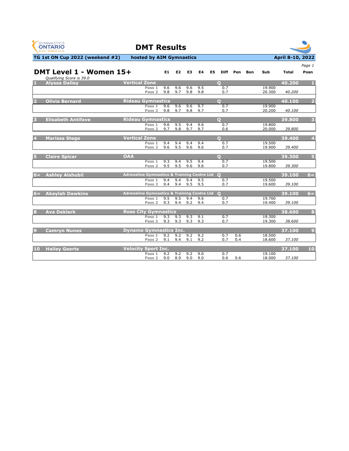| GYMNASTICS      |
|-----------------|
| <b>ONTARIO</b>  |
| ORT STARTS HERE |



|                       |                                                     |                                               |                   |                |                |     |     |    |                |     |     |        |              | Page 1                  |
|-----------------------|-----------------------------------------------------|-----------------------------------------------|-------------------|----------------|----------------|-----|-----|----|----------------|-----|-----|--------|--------------|-------------------------|
|                       | DMT Level 1 - Women 15+<br>Qualifying Score is 39.0 |                                               |                   | E <sub>1</sub> | E <sub>2</sub> | E3  | E4  | E5 | <b>Diff</b>    | Pen | Bon | Sub    | <b>Total</b> | Posn                    |
|                       | <b>Alyssa Dalley</b>                                | <b>Vertical Zone</b>                          |                   |                |                |     |     |    | $\Omega$       |     |     |        | 40.200       |                         |
|                       |                                                     |                                               | Pass 1            | 9.6            | 9.6            | 9.6 | 9.5 |    | 0.7            |     |     | 19.900 |              |                         |
|                       |                                                     |                                               | Pass 2            | 9.8            | 9.7            | 9.8 | 9.8 |    | 0.7            |     |     | 20,300 | 40.200       |                         |
| $\overline{2}$        | <b>Olivia Bernard</b>                               | <b>Rideau Gymnastics</b>                      |                   |                |                |     |     |    | $\Omega$       |     |     |        | 40.100       | 2                       |
|                       |                                                     |                                               | Pass <sub>1</sub> | 9.6            | 9.6            | 9.6 | 9.7 |    | 0.7            |     |     | 19.900 |              |                         |
|                       |                                                     |                                               | Pass <sub>2</sub> | 9.8            | 9.7            | 9.8 | 9.7 |    | 0.7            |     |     | 20.200 | 40.100       |                         |
| в                     | <b>Elisabeth Antifave</b>                           | <b>Rideau Gymnastics</b>                      |                   |                |                |     |     |    | $\Omega$       |     |     |        | 39,800       | $\overline{\mathbf{3}}$ |
|                       |                                                     |                                               | Pass 1            | 9,6            | 9.5            | 9.4 | 9.6 |    | 0.7            |     |     | 19.800 |              |                         |
|                       |                                                     |                                               | Pass <sub>2</sub> | 9.7            | 9.8            | 9.7 | 9.7 |    | 0.6            |     |     | 20,000 | 39.800       |                         |
|                       | <b>Marissa Stege</b>                                | <b>Vertical Zone</b>                          |                   |                |                |     |     |    | $\Omega$       |     |     |        | 39.400       | $\overline{4}$          |
|                       |                                                     |                                               | Pass 1            | 9.4            | 9.4            | 9.4 | 9.4 |    | 0.7            |     |     | 19.500 |              |                         |
|                       |                                                     |                                               | Pass 2            | 9.6            | 9.5            | 9.6 | 9.6 |    | 0.7            |     |     | 19.900 | 39.400       |                         |
|                       | <b>Claire Spicer</b>                                | <b>OAA</b>                                    |                   |                |                |     |     |    | $\overline{O}$ |     |     |        | 39.300       | 5                       |
|                       |                                                     |                                               | Pass 1            | 9.3            | 9.4            | 9.5 | 9.4 |    | 0.7            |     |     | 19.500 |              |                         |
|                       |                                                     |                                               | Pass 2            | 9.5            | 9.5            | 9.6 | 9.6 |    | 0.7            |     |     | 19.800 | 39.300       |                         |
| $6 =$                 | <b>Ashlev Alshubil</b>                              | Adrenaline Gymnastics & Training Centre Ltd 0 |                   |                |                |     |     |    |                |     |     |        | 39.100       | $6 =$                   |
|                       |                                                     |                                               | Pass 1            | 9.4            | 9.4            | 9.4 | 9.5 |    | 0.7            |     |     | 19.500 |              |                         |
|                       |                                                     |                                               | Pass 2            | 9.4            | 9.4            | 9.5 | 9.5 |    | 0.7            |     |     | 19.600 | 39.100       |                         |
| $6 =$                 | <b>Akaylah Dawkins</b>                              | Adrenaline Gymnastics & Training Centre Ltd 0 |                   |                |                |     |     |    |                |     |     |        | 39.100       | $6 =$                   |
|                       |                                                     |                                               | Pass 1            | 9.5            | 9.5            | 9.4 | 9.6 |    | 0.7            |     |     | 19.700 |              |                         |
|                       |                                                     |                                               | Pass 2            | 9.3            | 9.4            | 9.2 | 9.4 |    | 0.7            |     |     | 19.400 | 39.100       |                         |
| $\mathbf{s}$          | <b>Ava Deklerk</b>                                  | <b>Rose City Gymnastics</b>                   |                   |                |                |     |     |    |                |     |     |        | 38.600       | $\bf{8}$                |
|                       |                                                     |                                               | Pass 1            | 9.3            | 9.3            | 9.3 | 9.1 |    | 0.7            |     |     | 19.300 |              |                         |
|                       |                                                     |                                               | Pass 2            | 9.3            | 9.3            | 9.3 | 9.3 |    | 0.7            |     |     | 19.300 | 38.600       |                         |
| $\boldsymbol{\Theta}$ | <b>Camryn Nunes</b>                                 | <b>Dynamo Gymnastics Inc.</b>                 |                   |                |                |     |     |    |                |     |     |        | 37.100       | $\overline{9}$          |
|                       |                                                     |                                               | Pass 1            | 9.2            | 9.2            | 9.2 | 9.2 |    | 0.7            | 0.6 |     | 18.500 |              |                         |
|                       |                                                     |                                               | Pass <sub>2</sub> | 9.1            | 9.4            | 9.1 | 9.2 |    | 0.7            | 0.4 |     | 18.600 | 37.100       |                         |
| 10                    | <b>Hailey Geerts</b>                                | <b>Velocity Sport Inc.</b>                    |                   |                |                |     |     |    |                |     |     |        | 37.100       | 10                      |
|                       |                                                     |                                               | Pass 1            | 9.2            | 9.2            | 9.2 | 9.0 |    | 0.7            |     |     | 19.100 |              |                         |
|                       |                                                     |                                               | Pass <sub>2</sub> | 9.0            | 8.9            | 9.0 | 9.0 |    | 0.6            | 0.6 |     | 18.000 | 37.100       |                         |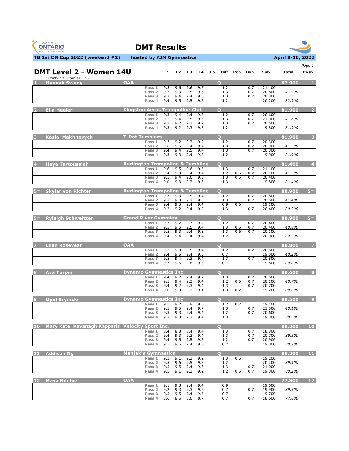



|       | <b>DMT Level 2 - Women 14U</b>                  |                                             |                             | E1         | E <sub>2</sub> | E3             | E4         | E5 | <b>Diff</b>      | Pen        | Bon        | Sub              | Total  | Page 1<br>Posn |
|-------|-------------------------------------------------|---------------------------------------------|-----------------------------|------------|----------------|----------------|------------|----|------------------|------------|------------|------------------|--------|----------------|
|       | Qualifying Score is 79.5                        |                                             |                             |            |                |                |            |    |                  |            |            |                  |        |                |
|       | <b>Hannah Swenv</b>                             | <b>OAA</b>                                  | Pass 1                      | 9.5        | 9.6            | 9.6            | 9.7        |    | $\Omega$<br>1.2  |            | 0.7        | 21.100           | 82.900 |                |
|       |                                                 |                                             | Pass <sub>2</sub>           | 9.2        | 9.3            | 9.5            | 9.5        |    | 1.3              |            | 0.7        | 20.800           | 41.900 |                |
|       |                                                 |                                             | Pass 3<br>Pass 4            | 9.2<br>9.4 | 9.4<br>9.5     | 9.4<br>9.5     | 9.6<br>9.5 |    | 1.3<br>1.2       |            | 0.7        | 20.800<br>20.200 | 82.900 |                |
|       |                                                 |                                             |                             |            |                |                |            |    |                  |            |            |                  |        |                |
|       | <b>Ella Heeler</b>                              | <b>Kingston Aeros Trampoline Club</b>       | Pass 1                      | 9.3        | 9.4            | 9.4            | 9.3        |    | $\circ$<br>1.2   |            | 0.7        | 20.600           | 81.900 |                |
|       |                                                 |                                             | Pass <sub>2</sub>           | 9.5        | 9.4            | 9.5            | 9.5        |    | 1.3              |            | 0.7        | 21.000           | 41.600 |                |
|       |                                                 |                                             | Pass <sub>3</sub><br>Pass 4 | 9.3<br>9.3 | 9.2<br>9.2     | 9.3<br>9.3     | 9.2<br>9.3 |    | 1.3<br>1.2       |            | 0.7        | 20.500<br>19.800 | 81.900 |                |
|       | Kasia Makhnevych                                | <b>T-Dot Tumblers</b>                       |                             |            |                |                |            |    | $\Omega$         |            |            |                  | 81.900 | з              |
|       |                                                 |                                             | Pass 1                      | 9.3        | 9.2            | 9.2            | 9.2        |    | 1.2              |            | 0.7        | 20.300           |        |                |
|       |                                                 |                                             | Pass <sub>2</sub><br>Pass 3 | 9.6<br>9.4 | 9.5<br>9.4     | 9.4<br>9.5     | 9.4<br>9.4 |    | 1.3<br>1.3       |            | 0.7<br>0.7 | 20.900<br>20.800 | 41.200 |                |
|       |                                                 |                                             | Pass 4                      | 9.3        | 9.3            | 9.4            | 9.5        |    | 1.2              |            |            | 19.900           | 81.900 |                |
|       | <b>Haya Tartoussieh</b>                         | <b>Burlington Trampoline &amp; Tumbling</b> |                             |            |                |                |            |    | $\circ$          |            |            |                  | 81.400 | 4              |
|       |                                                 |                                             | Pass 1                      | 9.6        | 9.5<br>9.3     | 9.6<br>9.4     | 9.5<br>9.4 |    | 1.3              |            | 0.7        | 21.100           |        |                |
|       |                                                 |                                             | Pass <sub>2</sub><br>Pass 3 | 9.4<br>9.5 | 9.4            | 9.6            | 9.5        |    | 1.2<br>1.3       | 0.6<br>0.6 | 0.7<br>0.7 | 20.100<br>20.400 | 41.200 |                |
|       |                                                 |                                             | Pass 4                      | 9.0        | 9.3            | 9.2            | 9.3        |    | 1.3              |            |            | 19.800           | 81.400 |                |
|       | 5= Skylar von Richter                           | <b>Burlington Trampoline &amp; Tumbling</b> |                             |            |                |                |            |    | $\Omega$         |            |            |                  | 80.900 | $5 =$          |
|       |                                                 |                                             | Pass 1<br>Pass <sub>2</sub> | 9.7<br>9.3 | 9.3<br>9.3     | 9.5<br>9.2     | 9.4<br>9.3 |    | 1.2<br>1.3       |            | 0.7<br>0.7 | 20.800<br>20.600 | 41.400 |                |
|       |                                                 |                                             | Pass 3                      | 9.4<br>9.2 | 9.5<br>9.2     | 9.4<br>9.4     | 9.4<br>9.2 |    | 0.9              | 0.6        |            | 19.100           |        |                |
|       |                                                 |                                             | Pass 4                      |            |                |                |            |    | 1.3              |            | 0.7        | 20.400           | 80.900 |                |
|       | 5= Ryleigh Schweitzer                           | <b>Grand River Gymmies</b>                  | Pass 1                      | 9.3        | 9.2            | 9.3            | 9.2        |    | $\bullet$<br>1.2 |            | 0.7        | 20.400           | 80.900 | $5 =$          |
|       |                                                 |                                             | Pass <sub>2</sub>           | 9.5        | 9.5            | 9.5            | 9.4        |    | 1.3              | 0.6        | 0.7        | 20.400           | 40.800 |                |
|       |                                                 |                                             | Pass 3<br>Pass 4            | 9.5<br>9.4 | 9.3<br>9.4     | 9.4<br>9.4     | 9.3<br>9.4 |    | 1.3<br>1.2       | 0.6        | 0.7        | 20.100<br>20.000 | 80.900 |                |
|       | Lilah Rosevear                                  | <b>OAA</b>                                  |                             |            |                |                |            |    | $\bullet$        |            |            |                  | 80.800 |                |
|       |                                                 |                                             | Pass 1                      | 9.2        | 9.3            | 9.5            | 9.4        |    | 1.2              |            | 0.7        | 20.600           |        |                |
|       |                                                 |                                             | Pass <sub>2</sub>           | 9.4        | 9.5<br>9.4     | 9.4<br>9.3     | 9.5        |    | 0.7<br>1.3       |            | 0.7        | 19.600           | 40.200 |                |
|       |                                                 |                                             | Pass 3<br>Pass 4            | 9.5<br>9.3 | 9.6            | 9.6            | 9.4<br>9.5 |    | 0.7              |            |            | 20.800<br>19.800 | 80.800 |                |
|       | <b>Ava Turpin</b>                               | <b>Dynamo Gymnastics Inc.</b>               |                             |            |                |                |            |    | $\circ$          |            |            |                  | 80.600 | $\mathbf{8}$   |
|       |                                                 |                                             | Pass 1                      | 9.4        | 9.2            | 9.4            | 9.2        |    | 1.3              |            | 0.7        | 20.600           |        |                |
|       |                                                 |                                             | Pass 2<br>Pass 3            | 9.5<br>9.4 | 9.4<br>9.2     | 9.3<br>9.3     | 9.4<br>9.4 |    | 1.2<br>1.3       | 0.6        | 0.7<br>0.7 | 20.100<br>20.700 | 40.700 |                |
|       |                                                 |                                             | Pass 4                      | 9.0        | 9.0            | 9.2            | 9.1        |    | 1.3              | 0.2        |            | 19.200           | 80.600 |                |
|       | <b>Opal Krynicki</b>                            | <b>Dynamo Gymnastics Inc.</b>               |                             |            |                |                |            |    | $\Omega$         |            |            |                  | 80.500 | $\overline{9}$ |
|       |                                                 |                                             | Pass 1<br>Pass 2            | 9.1<br>9.5 | 9.2<br>9.5     | 8.9<br>9.4     | 9.0<br>9.7 |    | 1.2<br>1.3       | 0.2        | 0.7        | 19.100<br>21.000 | 40.100 |                |
|       |                                                 |                                             | Pass 3                      | 9.3        | 9.3            | 9.4            | 9.4        |    | 1.2              |            | 0.7        | 20.600<br>19.800 |        |                |
|       |                                                 |                                             | $D = c c 4$                 | 92         | 9.3            | 9 <sub>2</sub> | 94         |    | 1 <sup>3</sup>   |            |            |                  | 80.500 |                |
| 10    | Mary Kate Kavanagh Kapparis Velocity Sport Inc. |                                             | Pass 1                      |            | 8.3            |                |            |    | $\Omega$         |            | 0.7        | 18.800           | 80.200 | <b>10</b>      |
|       |                                                 |                                             | Pass 2                      | 8.4<br>9.4 | 9.3            | 8.4<br>9.3     | 8.4<br>9.4 |    | 1.3<br>1.3       |            | 0.7        | 20.700           | 39,500 |                |
|       |                                                 |                                             | Pass 3<br>Pass 4            | 9.4<br>9.5 | 9.5<br>9.6     | 9.5<br>9.4     | 9.5<br>9.6 |    | 1.2<br>0.7       |            | 0.7        | 20.900<br>19.800 | 80.200 |                |
|       |                                                 |                                             |                             |            |                |                |            |    |                  |            |            |                  |        |                |
| 6 F.H | <b>Addison Na</b>                               | <b>Manjak's Gymnastics</b>                  | Pass 1                      | 9.3        | 9.1            | 9.3            | 9.2        |    | $\Omega$<br>1.3  | 0.6        |            | 19.200           | 80.200 | 11             |
|       |                                                 |                                             | Pass <sub>2</sub>           | 9.5        | 9.6            | 9.5            | 9.5        |    | 1.2              |            |            | 20.200           | 39.400 |                |
|       |                                                 |                                             | Pass 3<br>Pass 4            | 9.5<br>9.5 | 9.5<br>9.1     | 9.4<br>9.3     | 9.6<br>9.2 |    | 1.3<br>1.2       | 0.6        | 0.7<br>0.7 | 21.000<br>19.800 | 80.200 |                |
| $12$  | <b>Maya Ritchie</b>                             | <b>OAA</b>                                  |                             |            |                |                |            |    |                  |            |            |                  | 77.800 | 12             |
|       |                                                 |                                             | Pass 1                      | 9.1        | 9.3            | 9.4            | 9.4        |    | 0.9              |            |            | 19.600           |        |                |
|       |                                                 |                                             | Pass <sub>2</sub><br>Pass 3 | 9.2<br>9.5 | 9.3<br>9.5     | 9.3<br>9.4     | 9.2<br>9.5 |    | 0.7<br>0.7       |            | 0.7        | 19.900<br>19.700 | 39.500 |                |
|       |                                                 |                                             | Pass 4                      | 8.6        | 8.6            | 8.6            | 8.7        |    | 0.7              |            | 0.7        | 18.600           | 77.800 |                |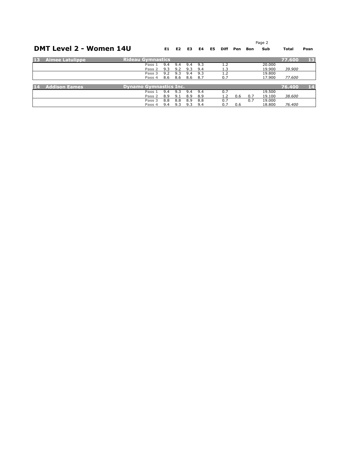|    |                                |                               |     |     |     |     |     |             |     |     | Page 2 |              |      |
|----|--------------------------------|-------------------------------|-----|-----|-----|-----|-----|-------------|-----|-----|--------|--------------|------|
|    | <b>DMT Level 2 - Women 14U</b> |                               | E1  | E2  | E3  | E4  | E5. | <b>Diff</b> | Pen | Bon | Sub    | <b>Total</b> | Posn |
| 13 | <b>Aimee Latulippe</b>         | <b>Rideau Gymnastics</b>      |     |     |     |     |     |             |     |     |        | 77.600       | 13   |
|    |                                | Pass 1                        | 9.4 | 9.4 | 9.4 | 9.3 |     |             |     |     | 20,000 |              |      |
|    |                                | Pass <sub>2</sub>             | 9.3 | 9.2 | 9.3 | 9.4 |     | 1.3         |     |     | 19.900 | 39,900       |      |
|    |                                | Pass 3                        | 9.2 | 9.3 | 9.4 | 9.3 |     | 1.2         |     |     | 19,800 |              |      |
|    |                                | Pass 4                        | 8.6 | 8.6 | 8.6 | 8.7 |     | 0.7         |     |     | 17.900 | 77.600       |      |
|    |                                |                               |     |     |     |     |     |             |     |     |        |              |      |
| 14 | <b>Addison Eames</b>           | <b>Dynamo Gymnastics Inc.</b> |     |     |     |     |     |             |     |     |        | 76.400       | 14   |
|    |                                | Pass 1                        | 9.4 | 9.3 | 9.4 | 9.4 |     | 0.7         |     |     | 19.500 |              |      |
|    |                                | Pass 2                        | 8.9 | 9.1 | 8.9 | 8.9 |     | 1.2         | 0.6 | 0.7 | 19.100 | 38.600       |      |
|    |                                | Pass 3                        | 8.8 | 8.8 | 8.9 | 8.8 |     | 0.7         |     | 0.7 | 19.000 |              |      |
|    |                                | Pass 4                        | 9.4 | 9.3 | 9.3 | 9.4 |     | 0.7         | 0.6 |     | 18.800 | 76,400       |      |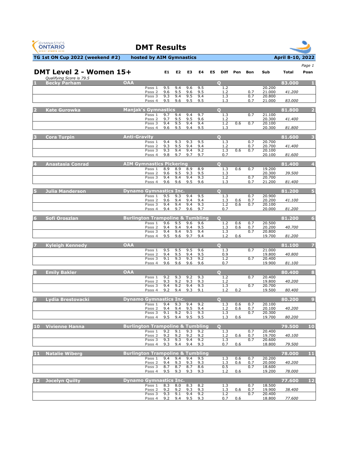



|                   |                                                     |                                             |                             |            |                |            |            |    |                 |            |            |                  |        | Page 1         |
|-------------------|-----------------------------------------------------|---------------------------------------------|-----------------------------|------------|----------------|------------|------------|----|-----------------|------------|------------|------------------|--------|----------------|
|                   | DMT Level 2 - Women 15+<br>Qualifying Score is 79.5 |                                             |                             | E1         | E <sub>2</sub> | E3         | E4         | E5 | <b>Diff</b>     | Pen        | Bon        | Sub              | Total  | Posn           |
|                   | <b>Becky Parham</b>                                 | <b>OAA</b>                                  |                             |            |                |            |            |    | $\bullet$       |            |            |                  | 83.000 | -1.            |
|                   |                                                     |                                             | Pass 1<br>Pass <sub>2</sub> | 9.5<br>9.6 | 9.4<br>9.5     | 9.6<br>9.6 | 9.5<br>9.5 |    | 1.2<br>1.2      |            | 0.7        | 20.200<br>21.000 | 41.200 |                |
|                   |                                                     |                                             | Pass 3                      | 9.3        | 9.4            | 9.5        | 9.4        |    | 1.3             |            | 0.7        | 20.800           |        |                |
|                   |                                                     |                                             | Pass 4                      | 9.5        | 9.6            | 9.5        | 9.5        |    | 1.3             |            | 0.7        | 21.000           | 83.000 |                |
|                   | <b>Kate Gurowka</b>                                 | <b>Manjak's Gymnastics</b>                  | Pass 1                      | 9.7        | 9.4            | 9.4        | 9.7        |    | $\Omega$<br>1.3 |            | 0.7        | 21.100           | 81.800 | $\overline{2}$ |
|                   |                                                     |                                             | Pass <sub>2</sub>           | 9.7        | 9.5            | 9.5        | 9.6        |    | 1.2             |            |            | 20.300           | 41.400 |                |
|                   |                                                     |                                             | Pass 3<br>Pass 4            | 9.4<br>9.6 | 9.5<br>9.5     | 9.4<br>9.4 | 9.4<br>9.5 |    | 1.2<br>1.3      | 0.6        | 0.7        | 20.100<br>20.300 | 81.800 |                |
|                   | <b>Cora Turpin</b>                                  | <b>Anti-Gravity</b>                         |                             |            |                |            |            |    | $\Omega$        |            |            |                  | 81.600 | з              |
|                   |                                                     |                                             | Pass 1                      | 9.4        | 9.3            | 9.3        | 9.5        |    | 1.3             |            | 0.7        | 20.700           |        |                |
|                   |                                                     |                                             | Pass <sub>2</sub><br>Pass 3 | 9.3<br>9.3 | 9.5<br>9.4     | 9.4<br>9.4 | 9.4<br>9.2 |    | 1.2<br>1.3      | 0.6        | 0.7<br>0.7 | 20.700<br>20.100 | 41.400 |                |
|                   |                                                     |                                             | Pass 4                      | 9.8        | 9.7            | 9.7        | 9.7        |    | 0.7             |            |            | 20.100           | 81.600 |                |
|                   | Anastasia Conrad                                    | <b>AIM Gymnastics Pickering</b>             |                             |            |                |            |            |    | $\Omega$        |            |            |                  | 81.400 | 4              |
|                   |                                                     |                                             | Pass 1                      | 8.9        | 8.9            | 8.9        | 8.9        |    | 1.3             | 0.6        | 0.7        | 19.200           |        |                |
|                   |                                                     |                                             | Pass <sub>2</sub><br>Pass 3 | 9.6<br>9.4 | 9.5<br>9.4     | 9.3<br>9.4 | 9.5<br>9.3 |    | 1.3<br>1.2      |            | 0.7        | 20.300<br>20.700 | 39.500 |                |
|                   |                                                     |                                             | Pass 4                      | 9.6        | 9.6            | 9.5        | 9.6        |    | 1.3             |            | 0.7        | 21.200           | 81.400 |                |
|                   | <b>Julia Manderson</b>                              | <b>Dynamo Gymnastics Inc.</b>               |                             |            |                |            |            |    | $\bullet$       |            |            |                  | 81.200 | 5              |
|                   |                                                     |                                             | Pass 1<br>Pass <sub>2</sub> | 9.5<br>9.6 | 9.3<br>9.4     | 9.4<br>9.4 | 9.5<br>9.4 |    | 1.3<br>1.3      | 0.6        | 0.7<br>0.7 | 20.900<br>20.200 | 41.100 |                |
|                   |                                                     |                                             | Pass 3<br>Pass 4            | 9.4<br>9.4 | 9.4<br>9.7     | 9.4<br>9.6 | 9.3<br>9.7 |    | 1.2<br>0.7      | 0.6        | 0.7        | 20.100<br>20.000 | 81.200 |                |
|                   |                                                     |                                             |                             |            |                |            |            |    |                 |            |            |                  |        |                |
|                   | Sofi Oroszlan                                       | <b>Burlington Trampoline &amp; Tumbling</b> | Pass 1                      | 9.6        | 9.5            | 9.6        | 9.6        |    | О<br>1.2        | 0.6        | 0.7        | 20.500           | 81.200 | 6              |
|                   |                                                     |                                             | Pass 2                      | 9.4        | 9.4            | 9.4        | 9.5        |    | 1.3             | 0.6        | 0.7        | 20.200           | 40.700 |                |
|                   |                                                     |                                             | Pass 3<br>Pass 4            | 9.4<br>9.5 | 9.4<br>9.6     | 9.5<br>9.7 | 9.4<br>9.4 |    | 1.3<br>1.2      | 0.6        | 0.7        | 20.800<br>19.700 | 81.200 |                |
|                   | <b>Kyleigh Kennedy</b>                              | <b>OAA</b>                                  |                             |            |                |            |            |    | $\bullet$       |            |            |                  | 81.100 | 7              |
|                   |                                                     |                                             | Pass 1                      | 9.5        | 9.5            | 9.5        | 9.6        |    | 1.3             |            | 0.7        | 21.000           |        |                |
|                   |                                                     |                                             | Pass <sub>2</sub><br>Pass 3 | 9.4<br>9.1 | 9.5<br>9.3     | 9.4<br>9.3 | 9.5<br>9.2 |    | 0.9<br>1.2      |            | 0.7        | 19.800<br>20.400 | 40.800 |                |
|                   |                                                     |                                             | Pass 4                      | 9.6        | 9.6            | 9.6        | 9.6        |    | 0.7             |            |            | 19.900           | 81.100 |                |
| в                 | <b>Emily Bakler</b>                                 | <b>OAA</b>                                  |                             |            |                |            |            |    | $\bullet$       |            |            |                  | 80.400 | 8              |
|                   |                                                     |                                             | Pass 1                      | 9.2        | 9.3            | 9.2        | 9.3        |    | 1.2             |            | 0.7        | 20.400           |        |                |
|                   |                                                     |                                             | Pass 2<br>Pass 3            | 9.3<br>9.4 | 9.2<br>9.2     | 9.3<br>9.4 | 9.3<br>9.3 |    | 1.2<br>1.3      |            | 0.7        | 19.800<br>20.700 | 40.200 |                |
|                   |                                                     |                                             | Pass 4                      | 9.2        | 9.4            | 9.3        | 9.1        |    | 1.2             | 0.2        |            | 19.500           | 80.400 |                |
|                   | Lydia Brestovacki                                   | <b>Dynamo Gymnastics Inc.</b>               |                             |            |                |            |            |    | $\Omega$        |            |            |                  | 80.200 | $\overline{9}$ |
|                   |                                                     |                                             | Pass <sub>1</sub><br>Pass 2 | 9.4<br>9.4 | 9.3<br>9.4     | 9.4<br>9.5 | 9.2<br>9.4 |    | 1.3<br>1.2      | 0.6<br>0.6 | 0.7<br>0.7 | 20.100<br>20.100 | 40.200 |                |
|                   |                                                     |                                             | Pass 3                      | 9.1        | 9.2            | 9.1        | 9.3        |    | 1.3             |            | 0.7        | 20.300           |        |                |
|                   |                                                     |                                             | $D2 \in A$                  | $Q$ 5      | $Q$ $A$        | $Q$ 5      | oς         |    | 1 <sub>2</sub>  | 06         |            | 19.700           | 80.200 |                |
| 10                | <b>Vivienne Hanna</b>                               | <b>Burlington Trampoline &amp; Tumbling</b> |                             |            |                |            |            |    | $\Omega$        |            |            |                  | 79.500 | <b>10</b>      |
|                   |                                                     |                                             | Pass 1<br>Pass <sub>2</sub> | 9.2<br>9.2 | 9.1<br>9.2     | 9.3<br>9.2 | 9.2<br>9.2 |    | 1.3<br>1.2      | 0.6        | 0.7<br>0.7 | 20,400<br>19.700 | 40.100 |                |
|                   |                                                     |                                             | Pass 3<br>Pass 4            | 9.3<br>9.3 | 9.3<br>9.4     | 9.4<br>9.4 | 9.2<br>9.3 |    | 1.3<br>0.7      | 0.6        | 0.7        | 20.600<br>18.800 | 79.500 |                |
| -11               | <b>Natalie Wiberg</b>                               | <b>Burlington Trampoline &amp; Tumbling</b> |                             |            |                |            |            |    |                 |            |            |                  |        | 11             |
|                   |                                                     |                                             | Pass 1                      | 9.4        | 9.4            | 9.4        | 9.5        |    | 1.3             | 0.6        | 0.7        | 20.200           | 78.000 |                |
|                   |                                                     |                                             | Pass <sub>2</sub><br>Pass 3 | 9.4        | 9.3            | 9.3<br>8.7 | 9.3<br>8.6 |    | 1.3             | 0.6        | 0.7<br>0.7 | 20.000           | 40.200 |                |
|                   |                                                     |                                             | Pass 4                      | 8.7<br>9.5 | 8.7<br>9.3     | 9.3        | 9.3        |    | 0.5<br>1.2      | 0.6        |            | 18.600<br>19.200 | 78.000 |                |
| $12 \overline{ }$ | Jocelyn Quilty                                      | <b>Dynamo Gymnastics Inc.</b>               |                             |            |                |            |            |    |                 |            |            |                  | 77.600 | $12$           |
|                   |                                                     |                                             | Pass 1                      | 8.3        | 8.0            | 8.3        | 8.2        |    | 1.3             |            | 0.7        | 18.500           |        |                |
|                   |                                                     |                                             | Pass <sub>2</sub><br>Pass 3 | 9.2<br>9.3 | 9.2<br>9.1     | 9.3<br>9.4 | 9.3<br>9.2 |    | 1.3<br>1.2      | 0.6        | 0.7<br>0.7 | 19.900<br>20.400 | 38.400 |                |
|                   |                                                     |                                             | Pass 4                      | 9.2        | 9.4            | 9.5        | 9.3        |    | 0.7             | 0.6        |            | 18.800           | 77.600 |                |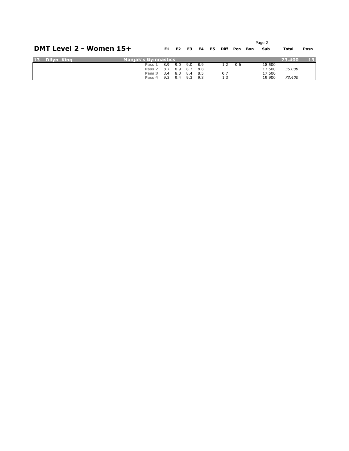|    |            | DMT Level 2 - Women 15+    |            | E1 E2      | E3.        | E4           | E5. | Diff | Pen | Bon | Page 2<br>Sub    | Total  | Posn |
|----|------------|----------------------------|------------|------------|------------|--------------|-----|------|-----|-----|------------------|--------|------|
| 13 | Dilyn King | <b>Manjak's Gymnastics</b> |            |            |            |              |     |      |     |     |                  | 73.400 | 13   |
|    |            | Pass 1<br>Pass 2           | 8.9<br>8.7 | 9.0<br>8.9 | 9.0<br>8.7 | 8.9<br>8.8   |     | 1.2  | 0.6 |     | 18.500<br>17.500 | 36.000 |      |
|    |            | Pass 3<br>Pass 4           | 8.4<br>9.3 | 8.3<br>9.4 | 8.4<br>9.3 | - 8.5<br>9.3 |     | 0.7  |     |     | 17.500<br>19.900 | 73,400 |      |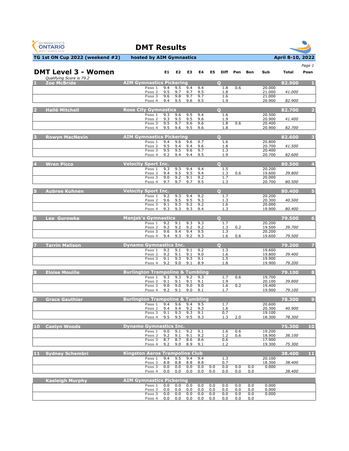



|    |                                                |                                                       |            |                |            |            |            |                 |            |            |                  |        | Page 1         |
|----|------------------------------------------------|-------------------------------------------------------|------------|----------------|------------|------------|------------|-----------------|------------|------------|------------------|--------|----------------|
|    | <b>DMT Level 3 - Women</b>                     |                                                       | E1.        | E <sub>2</sub> | E3         | E4         | E5         | Diff            | Pen        | Bon        | Sub              | Total  | Posn           |
|    | Qualifying Score is 79.2<br><b>Zoe McBride</b> | <b>AIM Gymnastics Pickering</b>                       |            |                |            |            |            | $\mathbf{O}$    |            |            |                  | 82.900 | -1             |
|    |                                                | Pass 1                                                | 9.4        | 9.5            | 9.4        | 9.4        |            | 1.8             | 0.6        |            | 20.000           |        |                |
|    |                                                | Pass <sub>2</sub><br>Pass 3                           | 9.5<br>9.6 | 9.7<br>9.8     | 9.7<br>9.7 | 9.5<br>9.7 |            | 1.8<br>1.6      |            |            | 21.000<br>21.000 | 41.000 |                |
|    |                                                | Pass 4                                                | 9.4        | 9.5            | 9.6        | 9.5        |            | 1.9             |            |            | 20.900           | 82.900 |                |
|    | <b>Hallé Mitchell</b>                          | <b>Rose City Gymnastics</b>                           |            |                |            |            |            | $\bullet$       |            |            |                  | 82.700 | 2              |
|    |                                                | Pass 1                                                | 9.3        | 9.6            | 9.5        | 9.4        |            | 1.6             |            |            | 20.500           |        |                |
|    |                                                | Pass <sub>2</sub><br>Pass 3                           | 9.3<br>9.5 | 9.5<br>9.7     | 9.5<br>9.6 | 9.6<br>9.6 |            | 1.9<br>1.8      | 0.6        |            | 20.900<br>20.400 | 41.400 |                |
|    |                                                | Pass 4                                                | 9.5        | 9.6            | 9.5        | 9.6        |            | 1.8             |            |            | 20.900           | 82.700 |                |
|    | <b>Rowyn MacNevin</b>                          | <b>AIM Gymnastics Pickering</b>                       |            |                |            |            |            | $\Omega$        |            |            |                  | 82.600 | -3             |
|    |                                                | Pass 1                                                | 9.4        | 9.6            | 9.6        | 9.7        |            | 1.6             |            |            | 20.800           |        |                |
|    |                                                | Pass <sub>2</sub><br>Pass 3                           | 9.5<br>9.5 | 9.4<br>9.5     | 9.4<br>9.6 | 9.6<br>9.7 |            | 1.8<br>1.3      |            |            | 20.700<br>20.400 | 41.500 |                |
|    |                                                | Pass 4                                                | 9.2        | 9.4            | 9.4        | 9.5        |            | 1.9             |            |            | 20.700           | 82.600 |                |
|    | <b>Wren Picco</b>                              | <b>Velocity Sport Inc.</b>                            |            |                |            |            |            | $\bullet$       |            |            |                  | 80.500 | $\overline{4}$ |
|    |                                                | Pass 1                                                | 9.3        | 9.3            | 9.4        | 9.4        |            | 1.5             |            |            | 20.200           |        |                |
|    |                                                | Pass <sub>2</sub><br>Pass 3                           | 9.4<br>9.0 | 9.5<br>9.2     | 9.5<br>9.1 | 9.4<br>9.2 |            | 1.3<br>1.7      | 0.6        |            | 19.600<br>20.000 | 39.800 |                |
|    |                                                | Pass 4                                                | 9.7        | 9.7            | 9.7        | 9.5        |            | 1.3             |            |            | 20.700           | 80.500 |                |
|    |                                                | <b>Velocity Sport Inc.</b>                            |            |                |            |            |            | $\Omega$        |            |            |                  | 80.400 |                |
|    | <b>Aubree Kuhnen</b>                           | Pass 1                                                | 9.2        | 9.3            | 9.4        | 9.2        |            | 1.7             |            |            | 20.200           |        | Б              |
|    |                                                | Pass 2                                                | 9.6        | 9.5            | 9.5        | 9.3        |            | 1.3             |            |            | 20.300           | 40.500 |                |
|    |                                                | Pass 3<br>Pass 4                                      | 9.1<br>9.3 | 9.3<br>9.3     | 9.2<br>9.3 | 9.2<br>9.4 |            | 1.6<br>1.3      |            |            | 20.000<br>19.900 | 80.400 |                |
|    |                                                |                                                       |            |                |            |            |            |                 |            |            |                  |        |                |
|    | Lea Gurowka                                    | <b>Manjak's Gymnastics</b><br>Pass 1                  | 9.2        | 9.1            | 9.3        | 9.3        |            | O<br>1.7        |            |            | 20.200           | 79.500 | 6              |
|    |                                                | Pass 2                                                | 9.2        | 9.2            | 9.2        | 9.2        |            | 1.3             | 0.2        |            | 19.500           | 39.700 |                |
|    |                                                | Pass 3<br>Pass 4                                      | 9.6<br>9.4 | 9.4<br>9.3     | 9.4<br>9.2 | 9.5<br>9.3 |            | 1.3<br>1.6      | 0.6        |            | 20.200<br>19.600 | 79.500 |                |
|    |                                                |                                                       |            |                |            |            |            |                 |            |            |                  |        |                |
|    | <b>Tarrin Malison</b>                          | <b>Dynamo Gymnastics Inc.</b><br>Pass 1               | 9.2        | 9.1            | 9.1        | 9.2        |            | $\Omega$<br>1.3 |            |            | 19.600           | 79.200 |                |
|    |                                                | Pass <sub>2</sub>                                     | 9.2        | 9.1            | 9.1        | 9.0        |            | 1.6             |            |            | 19.800           | 39.400 |                |
|    |                                                | Pass 3<br>Pass 4                                      | 9.1<br>9.2 | 9.3<br>9.0     | 9.3<br>9.1 | 9.1<br>8.9 |            | 1.5<br>1.8      |            |            | 19.900<br>19.900 | 79.200 |                |
|    |                                                |                                                       |            |                |            |            |            |                 |            |            |                  |        |                |
|    | <b>Eloise Mouille</b>                          | <b>Burlington Trampoline &amp; Tumbling</b><br>Pass 1 | 9.3        | 9.3            | 9.2        | 9.3        |            | 1.7             | 0.6        |            | 19.700           | 79.100 | 8              |
|    |                                                | Pass <sub>2</sub>                                     | 9.1        | 9.1            | 9.1        | 9.1        |            | 1.9             |            |            | 20.100           | 39.800 |                |
|    |                                                | Pass 3<br>Pass 4                                      | 9.0<br>9.2 | 9.0<br>9.1     | 9.0<br>9.0 | 9.0<br>9.1 |            | 1.6<br>1.7      | 0.2        |            | 19.400<br>19.900 | 79.100 |                |
|    |                                                |                                                       |            |                |            |            |            |                 |            |            |                  |        |                |
|    | <b>Grace Gauthier</b>                          | <b>Burlington Trampoline &amp; Tumbling</b>           |            |                |            |            |            |                 |            |            | 20.600           | 78.300 | $\overline{9}$ |
|    |                                                | Pass 1<br>Pass 2                                      | 9.4<br>9.4 | 9.6<br>9.4     | 9.4<br>9.2 | 9.5<br>9.3 |            | 1.7<br>1.6      |            |            | 20.300           | 40.900 |                |
|    |                                                | Pass 3                                                | 9.1        | 9.3            | 9.3        | 9.1<br>9.3 |            | 0.7             |            |            | 19.100<br>18.300 |        |                |
|    |                                                | Pass 4                                                | 9.5        | 9.5            | 9.5        |            |            | 1.3             | 2.0        |            |                  | 78.300 |                |
| 10 | <b>Caelvn Woods</b>                            | <b>Dynamo Gymnastics Inc.</b>                         |            |                |            |            |            |                 |            |            |                  | 75.300 | 10             |
|    |                                                | Pass $1$<br>Pass 2                                    | 9.0<br>9.2 | 9.1<br>9.1     | 9.2<br>9.1 | 9.1<br>9.2 |            | 1.6<br>1.2      | 0.6<br>0.6 |            | 19.200<br>18.900 | 38.100 |                |
|    |                                                | Pass 3                                                | 8.7        | 8.7            | 8.6        | 8.6        |            | 0.6             |            |            | 17.900           |        |                |
|    |                                                | Pass 4                                                | 9.2        | 9.0            | 8.9        | 9.1        |            | 1.2             |            |            | 19.300           | 75.300 |                |
|    | 11 Svdnev Schembri                             | <b>Kingston Aeros Trampoline Club</b>                 |            |                |            |            |            |                 |            |            |                  | 38.400 | 11             |
|    |                                                | Pass 1<br>Pass <sub>2</sub>                           | 9.4<br>8.8 | 9.5<br>8.8     | 9.4<br>8.8 | 9.4<br>8.8 |            | 1.3<br>0.7      |            |            | 20.100<br>18.300 | 38.400 |                |
|    |                                                | Pass 3                                                | 0.0        | 0.0            | 0.0        | 0.0        | 0.0        | 0.0             | 0.0        | 0.0        | 0.000            |        |                |
|    |                                                | Pass 4                                                | 0.0        | 0.0            | 0.0        | 0.0        | 0.0        | 0.0             | 0.0        | 0.0        |                  | 38.400 |                |
|    | <b>Kaeleigh Murphy</b>                         | <b>AIM Gymnastics Pickering</b>                       |            |                |            |            |            |                 |            |            |                  |        |                |
|    |                                                | Pass 1<br>Pass <sub>2</sub>                           | 0.0<br>0.0 | 0.0<br>0.0     | 0.0<br>0.0 | 0.0<br>0.0 | 0.0<br>0.0 | 0.0<br>0.0      | 0.0<br>0.0 | 0.0<br>0.0 | 0.000<br>0.000   |        |                |
|    |                                                | Pass 3                                                | 0.0        | 0.0            | 0.0        | 0.0        | 0.0        | 0.0             | 0.0        | 0.0        | 0.000            |        |                |
|    |                                                | Pass 4                                                | 0.0        | 0.0            | 0.0        | 0.0        | 0.0        | 0.0             | 0.0        | 0.0        |                  |        |                |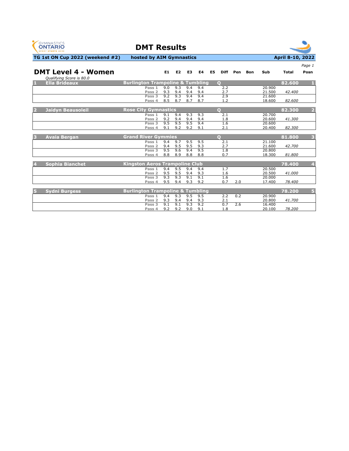



|                            |                                             |            |                |            |            |                |             |     |     |                  |              | Page 1         |
|----------------------------|---------------------------------------------|------------|----------------|------------|------------|----------------|-------------|-----|-----|------------------|--------------|----------------|
| <b>DMT Level 4 - Women</b> |                                             | E1         | E <sub>2</sub> | E3         | E4         | E <sub>5</sub> | <b>Diff</b> | Pen | Bon | Sub              | <b>Total</b> | Posn           |
| Qualifying Score is 80.0   |                                             |            |                |            |            |                |             |     |     |                  |              |                |
| П<br><b>Ella Brideaux</b>  | <b>Burlington Trampoline &amp; Tumbling</b> |            |                |            |            | $\Omega$       |             |     |     |                  | 82.600       |                |
|                            | Pass 1                                      | 9.0        | 9.3            | 9.4        | 9.4        |                | 2.2         |     |     | 20,900           |              |                |
|                            | Pass <sub>2</sub>                           | 9.3        | 9.4            | 9.4        | 9.4        |                | 2.7         |     |     | 21.500           | 42.400       |                |
|                            | Pass <sub>3</sub>                           | 9.2        | 9.3            | 9.4        | 9.4        |                | 2.9         |     |     | 21.600           |              |                |
|                            | Pass 4                                      | 8.5        | 8.7            | 8.7        | 8.7        |                | 1.2         |     |     | 18.600           | 82.600       |                |
| 2                          | <b>Rose City Gymnastics</b>                 |            |                |            |            | $\bullet$      |             |     |     |                  | 82.300       | $\overline{2}$ |
| <b>Jaidyn Beausoleil</b>   |                                             |            |                |            |            |                |             |     |     |                  |              |                |
|                            | Pass 1<br>Pass <sub>2</sub>                 | 9.1<br>9.2 | 9.4<br>9.4     | 9.3<br>9.4 | 9.3<br>9.4 |                | 2.1         |     |     | 20,700<br>20.600 | 41.300       |                |
|                            | Pass <sub>3</sub>                           | 9.5        | 9.5            | 9.5        | 9.4        |                | 1.8<br>1.6  |     |     | 20,600           |              |                |
|                            | Pass 4                                      | 9.1        | 9.2            | 9.2        | 9.1        |                | 2.1         |     |     | 20,400           | 82.300       |                |
|                            |                                             |            |                |            |            |                |             |     |     |                  |              |                |
| Avaia Bergan<br>B          | <b>Grand River Gymmies</b>                  |            |                |            |            | $\Omega$       |             |     |     |                  | 81.800       | 3              |
|                            | Pass 1                                      | 9.4        | 9.7            | 9.5        | 9.5        |                | 2.1         |     |     | 21.100           |              |                |
|                            | Pass <sub>2</sub>                           | 9.4        | 9.5            | 9.5        | 9.3        |                | 2.7         |     |     | 21.600           | 42.700       |                |
|                            | Pass 3                                      | 9.5        | 9.6            | 9.4        | 9.5        |                | 1.8         |     |     | 20,800           |              |                |
|                            | Pass 4                                      | 8.8        | 8.9            | 8.8        | 8.8        |                | 0.7         |     |     | 18.300           | 81.800       |                |
|                            |                                             |            |                |            |            |                |             |     |     |                  |              |                |
| <b>Sophia Bianchet</b>     | <b>Kingston Aeros Trampoline Club</b>       |            |                |            |            |                |             |     |     |                  | 78.400       | 4              |
|                            | Pass 1                                      | 9.4        | 9.5            | 9.4        | 9.4        |                | 1.7         |     |     | 20.500           |              |                |
|                            | Pass <sub>2</sub>                           | 9.5        | 9.5            | 9.4        | 9.3        |                | 1.6         |     |     | 20.500           | 41.000       |                |
|                            | Pass 3                                      | 9.3        | 9.3            | 9.1        | 9.1        |                | 1.6         |     |     | 20,000           |              |                |
|                            | Pass 4                                      | 9.5        | 9.4            | 9.3        | 9.2        |                | 0.7         | 2.0 |     | 17.400           | 78.400       |                |
|                            |                                             |            |                |            |            |                |             |     |     |                  |              |                |
| <b>Sydni Burgess</b><br>15 | <b>Burlington Trampoline &amp; Tumbling</b> |            |                |            |            |                |             |     |     |                  | 78.200       | 5              |
|                            | Pass 1                                      | 9.4        | 9.3            | 9.5        | 9.5        |                | 2.2         | 0.2 |     | 20,900           |              |                |
|                            | Pass <sub>2</sub>                           | 9.3        | 9.4            | 9.4        | 9.3        |                | 2.1         |     |     | 20.800           | 41.700       |                |
|                            | Pass <sub>3</sub>                           | 9.1        | 9.1            | 9.3        | 9.2        |                | 0.7         | 2.6 |     | 16,400           |              |                |
|                            | Pass 4                                      | 9.2        | 9.2            | 9.0        | 9.1        |                | 1.8         |     |     | 20.100           | 78.200       |                |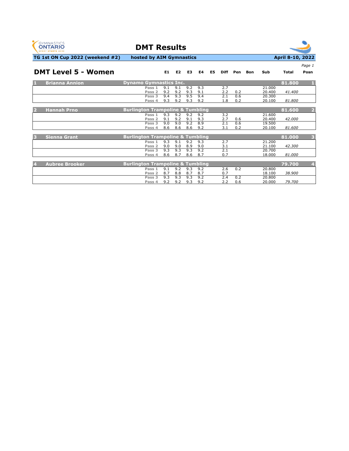



**E1 E2 E3 E4 E5 Diff Pen Bon Sub Total Posn**

*Page 1*

**TG 1st ON Cup 2022 (weekend #2) hosted by AIM Gymnastics April 8-10, 2022** 

### **DMT Level 5 - Women**

| n,             | <b>Brianna Annion</b> | <b>Dynamo Gymnastics Inc.</b>                 |                      | 81.800<br>п,                      |
|----------------|-----------------------|-----------------------------------------------|----------------------|-----------------------------------|
|                |                       | 9.3<br>9.2<br>9.1<br>9.1<br>Pass 1            | 2.7<br>21,000        |                                   |
|                |                       | 9.2<br>9.2<br>9.3<br>9.1<br>Pass <sub>2</sub> | 2.2<br>0.2<br>20,400 | 41.400                            |
|                |                       | Pass <sub>3</sub><br>9.4<br>9.3<br>9.5<br>9.4 | 20,300<br>2.1<br>0.6 |                                   |
|                |                       | 9.3<br>9.2<br>9.3<br>9.2<br>Pass 4            | 1.8<br>0.2<br>20.100 | 81.800                            |
|                |                       |                                               |                      |                                   |
| 2              | <b>Hannah Prno</b>    | <b>Burlington Trampoline &amp; Tumbling</b>   |                      | $\overline{2}$<br>81.600          |
|                |                       | 9.2<br>9.3<br>9.2<br>9.2<br>Pass 1            | 3.2<br>21.600        |                                   |
|                |                       | 9.2<br>9.3<br>Pass <sub>2</sub><br>9.1<br>9.1 | 2.7<br>20.400<br>0.6 | 42.000                            |
|                |                       | 9.0<br>9.0<br>9.2<br>8.9<br>Pass 3            | 2.1<br>0.6<br>19.500 |                                   |
|                |                       | 9.2<br>8.6<br>8.6<br>8.6<br>Pass 4            | 0.2<br>20.100<br>3.1 | 81.600                            |
|                |                       |                                               |                      |                                   |
| B              | <b>Sienna Grant</b>   | <b>Burlington Trampoline &amp; Tumbling</b>   |                      | 81.000<br>$\overline{\mathbf{3}}$ |
|                |                       | 9.3<br>9.1<br>9.2<br>9.3<br>Pass 1            | 2.7<br>21.200        |                                   |
|                |                       | 9.0<br>9.0<br>8.9<br>9.0<br>Pass 2            | 3.1<br>21.100        | 42.300                            |
|                |                       | 9.3<br>9.2<br>9.3<br>9.3<br>Pass 3            | 2.1<br>20,700        |                                   |
|                |                       | 8.6<br>8.7<br>8.7<br>8.6<br>Pass 4            | 0.7<br>18,000        | 81.000                            |
|                |                       |                                               |                      |                                   |
| $\overline{A}$ | <b>Aubree Brooker</b> | <b>Burlington Trampoline &amp; Tumbling</b>   |                      | $\overline{4}$<br>79.700          |
|                |                       | 9.1<br>9.2<br>9.3<br>9.2<br>Pass 1            | 2.6<br>0.2<br>20,800 |                                   |
|                |                       | 8.7<br>8.8<br>8.7<br>8.7<br>Pass <sub>2</sub> | 0.7<br>18.100        | 38.900                            |
|                |                       | 9.3<br>9.3<br>9.3<br>9.2<br>Pass 3            | 2.4<br>0.2<br>20,800 |                                   |
|                |                       | 9.2<br>9.2<br>9.3<br>9.2<br>Pass 4            | 2.2<br>0.6<br>20.000 | 79.700                            |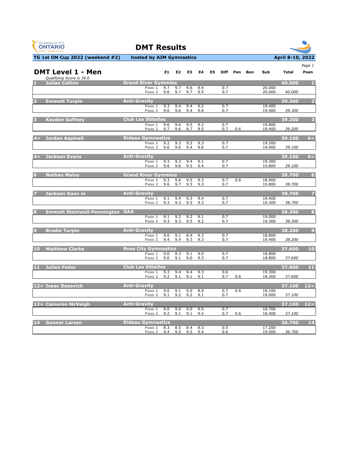| <b>GYMNASTICS</b><br><b>ONTARIO</b><br><b>SPORT STARTS HERE</b> | <b>DMT Results</b>                                         |            |                |            |            |    |             |     |     |                  |                  |                |
|-----------------------------------------------------------------|------------------------------------------------------------|------------|----------------|------------|------------|----|-------------|-----|-----|------------------|------------------|----------------|
| TG 1st ON Cup 2022 (weekend #2)                                 | hosted by AIM Gymnastics                                   |            |                |            |            |    |             |     |     |                  | April 8-10, 2022 |                |
| <b>DMT Level 1 - Men</b><br>Qualifying Score is 39.0            |                                                            | E1         | E <sub>2</sub> | E3         | E4         | E5 | <b>Diff</b> | Pen | Bon | Sub              | <b>Total</b>     | Page 1<br>Posn |
| <b>Julian Collins</b>                                           | <b>Grand River Gymmies</b><br>Pass 1<br>Pass <sub>2</sub>  | 9.7<br>9.6 | 9.7<br>9.7     | 9.6<br>9.7 | 9.4<br>9.5 |    | 0.7<br>0.7  |     |     | 20.000<br>20.000 | 40.000<br>40.000 | -1             |
| <b>Emmett Turpin</b><br>2                                       | <b>Anti-Gravity</b><br>Pass 1<br>Pass <sub>2</sub>         | 9.3<br>9.6 | 9.4<br>9.6     | 9.4<br>9.4 | 9.2<br>9.6 |    | 0.7<br>0.7  |     |     | 19.400<br>19.900 | 39.300<br>39.300 | D              |
| <b>Kayden Gaffney</b>                                           | <b>Club Les Sittelles</b><br>Pass 1<br>Pass <sub>2</sub>   | 9.6<br>9.7 | 9.6<br>9.6     | 9.5<br>9.7 | 9.2<br>9.5 |    | 0.7<br>0.7  | 0.6 |     | 19.800<br>19.400 | 39.200<br>39.200 | -3             |
| 4= Jordan Aspinall                                              | <b>Rideau Gymnastics</b><br>Pass 1<br>Pass <sub>2</sub>    | 9.2<br>9.6 | 9.3<br>9.6     | 9.2<br>9.4 | 9.3<br>9.6 |    | 0.7<br>0.7  |     |     | 19.200<br>19.900 | 39.100<br>39.100 | $4 =$          |
| 4= Jackson Evans                                                | <b>Anti-Gravity</b><br>Pass 1<br>Pass 2                    | 9.3<br>9.6 | 9.3<br>9.6     | 9.4<br>9.5 | 9.1<br>9.4 |    | 0.7<br>0.7  |     |     | 19.300<br>19.800 | 39.100<br>39.100 | $4 =$          |
| <b>Nathan Malov</b>                                             | <b>Grand River Gymmies</b><br>Pass 1<br>Pass <sub>2</sub>  | 9.3<br>9.6 | 9.6<br>9.7     | 9.5<br>9.5 | 9.3<br>9.3 |    | 0.7<br>0.7  | 0.6 |     | 18.900<br>19.800 | 38.700<br>38.700 | 6              |
| <b>Jackson Gauv in</b>                                          | <b>Anti-Gravity</b><br>Pass 1<br>Pass <sub>2</sub>         | 9.1<br>9.3 | 9.4<br>9.3     | 9.3<br>9.5 | 9.4<br>9.3 |    | 0.7<br>0.7  |     |     | 19.400<br>19.300 | 38.700<br>38.700 |                |
| <b>Emmett Steinwell-Pennington OAA</b>                          | Pass 1<br>Pass <sub>2</sub>                                | 9.1<br>9.3 | 9.2<br>9.3     | 9.2<br>9.5 | 9.1<br>9.2 |    | 0.7<br>0.7  |     |     | 19.000<br>19.300 | 38,300<br>38.300 | $\mathbf{R}$   |
| <b>Brodie Turpin</b>                                            | <b>Anti-Gravity</b><br>Pass 1<br>Pass <sub>2</sub>         | 9.0<br>9.4 | 9.1<br>9.4     | 8.9<br>9.3 | 9.3<br>9.3 |    | 0.7<br>0.7  |     |     | 18.800<br>19.400 | 38.200<br>38.200 | $\overline{9}$ |
| <b>Matthew Clarke</b><br>10                                     | <b>Rose City Gymnastics</b><br>Pass 1<br>Pass <sub>2</sub> | 9.0<br>9.0 | 9.3<br>9.1     | 9.1<br>9.0 | 9.0<br>9.3 |    | 0.7<br>0.7  |     |     | 18,800<br>18.800 | 37.600<br>37.600 | 10             |
| 11 Julien Fedor                                                 | <b>Club Les Sittelles</b><br>Pass 1<br>Pass <sub>2</sub>   | 9.3<br>9.2 | 9.4<br>9.1     | 9.4<br>9.1 | 9.3<br>9.1 |    | 0.6<br>0.7  | 0.6 |     | 19.300<br>18.300 | 37.600<br>37.600 | 11             |
| 12= Isaac Dasovich                                              | <b>Anti-Gravity</b><br>Pass 1<br>Pass <sub>2</sub>         | 9.0<br>9.1 | 9.1<br>9.2     | 9.0<br>9.2 | 8.9<br>9.1 |    | 0.7<br>0.7  | 0.6 |     | 18.100<br>19.000 | 37.100<br>37.100 | $12 =$         |
| 12= Cameron McVeigh                                             | <b>Anti-Gravity</b><br>Pass 1<br>Pass <sub>2</sub>         | 9.0<br>9.2 | 9.0<br>9.1     | 9.0<br>9.1 | 9.0<br>9.4 |    | 0.7<br>0.7  | 0.6 |     | 18.700<br>18,400 | 37.100<br>37.100 | $12=$          |
| 14 Gunnar Larsen                                                | <b>Rideau Gymnastics</b><br>Pass 1<br>Pass <sub>2</sub>    | 8.3<br>9.4 | 8.5<br>9.5     | 8.4<br>9.5 | 8.3<br>9.4 |    | 0.5<br>0.6  |     |     | 17.200<br>19.500 | 36.700<br>36.700 | 14             |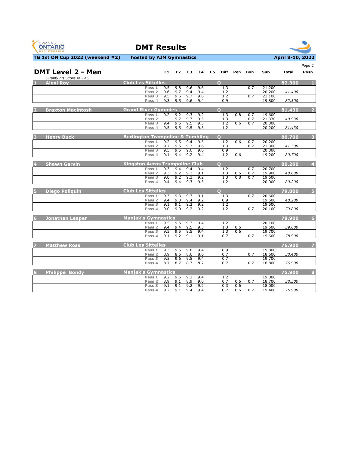



|                                                      |                                             |            |                |            |            |            |            |            |                  |              | Page 1                  |
|------------------------------------------------------|---------------------------------------------|------------|----------------|------------|------------|------------|------------|------------|------------------|--------------|-------------------------|
| <b>DMT Level 2 - Men</b><br>Qualifying Score is 79.5 |                                             | E1         | E <sub>2</sub> | E3         | E4         | E5<br>Diff | Pen        | Bon        | Sub              | <b>Total</b> | Posn                    |
| <b>Alexi Rov</b>                                     | <b>Club Les Sittelles</b>                   |            |                |            |            | $\Omega$   |            |            |                  | 82.300       |                         |
|                                                      | Pass 1<br>Pass <sub>2</sub>                 | 9.5<br>9.6 | 9.8<br>9.7     | 9.6<br>9.4 | 9.6<br>9.4 | 1.3<br>1.2 |            | 0.7        | 21,200<br>20.200 | 41.400       |                         |
|                                                      | Pass 3<br>Pass 4                            | 9.5<br>9.3 | 9.6<br>9.5     | 9.7<br>9.6 | 9.6<br>9.4 | 1.2<br>0.9 |            | 0.7        | 21.100<br>19.800 | 82.300       |                         |
| <b>Braxton Macintosh</b>                             | <b>Grand River Gymmies</b>                  |            |                |            |            | $\Omega$   |            |            |                  | 81.430       | $\overline{2}$          |
|                                                      | Pass 1<br>Pass <sub>2</sub>                 | 9.2        | 9.2<br>9.7     | 9.3<br>9.7 | 9.2<br>9.5 | 1.3<br>1.3 | 0.8        | 0.7<br>0.7 | 19.600<br>21.330 | 40.930       |                         |
|                                                      | Pass 3<br>Pass 4                            | 9.4<br>9.5 | 9.6<br>9.5     | 9.5<br>9.5 | 9.5<br>9.5 | 1.2<br>1.2 | 0.6        | 0.7        | 20.300<br>20.200 | 81.430       |                         |
| <b>Henry Buck</b>                                    | <b>Burlington Trampoline &amp; Tumbling</b> |            |                |            |            | $\Omega$   |            |            |                  | 80.700       | $\overline{\mathbf{3}}$ |
|                                                      | Pass 1<br>Pass <sub>2</sub>                 | 9.2<br>9.7 | 9.5<br>9.5     | 9.4<br>9.7 | 9.5<br>9.6 | 1.2<br>1.3 | 0.6        | 0.7<br>0.7 | 20.200<br>21.300 | 41.500       |                         |
|                                                      | Pass 3<br>Pass 4                            | 9.5<br>9.1 | 9.5<br>9.4     | 9.6<br>9.2 | 9.6<br>9.4 | 0.9<br>1.2 | 0.6        |            | 20,000<br>19.200 | 80.700       |                         |
| <b>Shawn Garvin</b>                                  | <b>Kingston Aeros Trampoline Club</b>       |            |                |            |            | $\Omega$   |            |            |                  | 80.200       | $\overline{4}$          |
|                                                      | Pass 1<br>Pass <sub>2</sub>                 | 9.3<br>9.3 | 9.4<br>9.2     | 9.4<br>9.3 | 9.4<br>9.1 | 1.2<br>1.3 | 0.6        | 0.7<br>0.7 | 20.700<br>19.900 | 40.600       |                         |
|                                                      | Pass 3<br>Pass 4                            | 9.0<br>9.4 | 9.2<br>9.4     | 9.3<br>9.3 | 9.2<br>9.5 | 1.3<br>1.2 | 0.8        | 0.7        | 19.600<br>20,000 | 80.200       |                         |
| <b>Diego Poliquin</b>                                | <b>Club Les Sittelles</b>                   |            |                |            |            | $\Omega$   |            |            |                  | 79.800       | 5                       |
|                                                      | Pass 1<br>Pass <sub>2</sub>                 | 9.3<br>9.4 | 9.3<br>9.3     | 9.3<br>9.4 | 9.1<br>9.2 | 1.3<br>0.9 |            | 0.7        | 20.600<br>19.600 | 40.200       |                         |
|                                                      | Pass 3<br>Pass 4                            | 9.1<br>9.0 | 9.1<br>9.0     | 9.2<br>9.2 | 9.2<br>9.2 | 1.2<br>1.2 |            | 0.7        | 19.500<br>20.100 | 79.800       |                         |
| <b>Jonathan Leaper</b><br>6                          | <b>Manjak's Gymnastics</b>                  |            |                |            |            |            |            |            |                  | 78.900       | 6                       |
|                                                      | Pass 1<br>Pass 2                            | 9.5<br>9.4 | 9.5<br>9.4     | 9.3<br>9.5 | 9.4<br>9.3 | 1.2<br>1.3 | 0.6        |            | 20.100<br>19.500 | 39.600       |                         |
|                                                      | Pass 3<br>Pass 4                            | 9.5<br>9.1 | 9.5<br>9.2     | 9.5<br>9.1 | 9.4<br>9.1 | 1.3<br>0.7 | 0.6        | 0.7        | 19.700<br>19.600 | 78.900       |                         |
| <b>Matthew Ross</b>                                  | <b>Club Les Sittelles</b>                   |            |                |            |            |            |            |            |                  | 76.900       |                         |
|                                                      | Pass 1<br>Pass <sub>2</sub>                 | 9.3<br>8.9 | 9.5<br>8.6     | 9.6<br>8.6 | 9.4<br>8.6 | 0.9<br>0.7 |            | 0.7        | 19.800<br>18.600 | 38.400       |                         |
|                                                      | Pass 3<br>Pass 4                            | 9.5<br>8.7 | 9.6<br>8.7     | 9.5<br>8.7 | 9.4<br>8.7 | 0.7<br>0.7 |            | 0.7        | 19.700<br>18.800 | 76.900       |                         |
| <b>Philippe Bondy</b><br>8                           | <b>Manjak's Gymnastics</b>                  |            |                |            |            |            |            |            |                  | 75.900       | $\bf{8}$                |
|                                                      | Pass 1<br>Pass <sub>2</sub>                 | 9.2<br>8.9 | 9.6<br>9.1     | 9.2<br>8.9 | 9.4<br>9.0 | 1.2<br>0.7 | 0.6        | 0.7        | 19,800<br>18.700 | 38.500       |                         |
|                                                      | Pass 3<br>Pass 4                            | 9.1<br>9.2 | 9.1<br>9.1     | 9.2<br>9.4 | 9.2<br>9.4 | 0.3<br>0.7 | 0.6<br>0.6 | 0.7        | 18.000<br>19.400 | 75.900       |                         |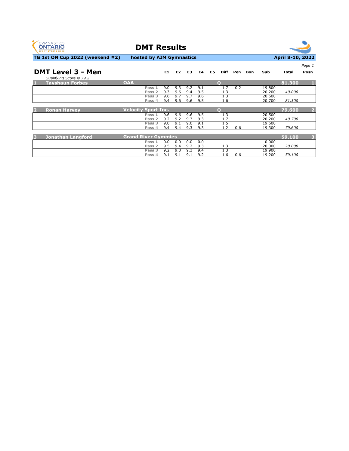

**DMT Results**



|                               |                            |     |     |     |     |                   |     |     |        |        | Page 1         |
|-------------------------------|----------------------------|-----|-----|-----|-----|-------------------|-----|-----|--------|--------|----------------|
| <b>DMT Level 3 - Men</b>      |                            | E1  | E2  | E3  | E4  | <b>Diff</b><br>E5 | Pen | Bon | Sub    | Total  | Posn           |
| Qualifying Score is 79.2      |                            |     |     |     |     |                   |     |     |        |        |                |
| к<br><b>Tayshaun Forbes</b>   | <b>OAA</b>                 |     |     |     |     | $\Omega$          |     |     |        | 81.300 |                |
|                               | Pass 1                     | 9.0 | 9.3 | 9.2 | 9.1 | 1.7               | 0.2 |     | 19.800 |        |                |
|                               | Pass <sub>2</sub>          | 9.3 | 9.6 | 9.4 | 9.5 | 1.3               |     |     | 20,200 | 40.000 |                |
|                               | Pass 3                     | 9.6 | 9.7 | 9.7 | 9.6 | 1.3               |     |     | 20,600 |        |                |
|                               | Pass 4                     | 9.4 | 9.6 | 9.6 | 9.5 | 1.6               |     |     | 20,700 | 81,300 |                |
|                               |                            |     |     |     |     |                   |     |     |        |        |                |
| <b>Ronan Harvey</b>           | <b>Velocity Sport Inc.</b> |     |     |     |     | $\circ$           |     |     |        | 79.600 | $\overline{2}$ |
|                               | Pass 1                     | 9.6 | 9.6 | 9.6 | 9.5 | 1.3               |     |     | 20.500 |        |                |
|                               | Pass <sub>2</sub>          | 9.2 | 9.2 | 9.3 | 9.3 | 1.7               |     |     | 20,200 | 40.700 |                |
|                               | Pass 3                     | 9.0 | 9.1 | 9.0 | 9.1 | 1.5               |     |     | 19.600 |        |                |
|                               | Pass 4                     | 9.4 | 9.4 | 9.3 | 9.3 | 1.2               | 0.6 |     | 19.300 | 79.600 |                |
|                               |                            |     |     |     |     |                   |     |     |        |        |                |
| <b>Jonathan Langford</b><br>E | <b>Grand River Gymmies</b> |     |     |     |     |                   |     |     |        | 59.100 | 3              |
|                               | Pass 1                     | 0.0 | 0.0 | 0.0 | 0.0 |                   |     |     | 0.000  |        |                |
|                               | Pass <sub>2</sub>          | 9.5 | 9.4 | 9.2 | 9.3 | 1.3               |     |     | 20,000 | 20.000 |                |
|                               | Pass 3                     | 9.2 | 9.3 | 9.3 | 9.4 | 1.3               |     |     | 19.900 |        |                |
|                               | Pass 4                     | 9.1 | 9.1 | 9.1 | 9.2 | 1.6               | 0.6 |     | 19.200 | 59.100 |                |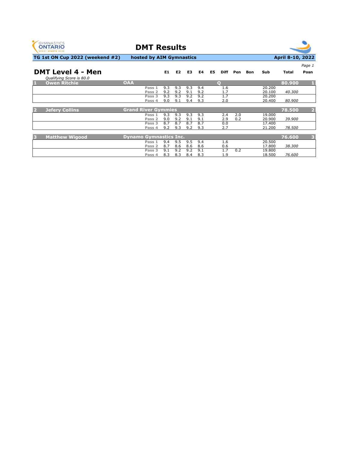



| <b>DMT Level 4 - Men</b><br>Qualifying Score is 80.0 |                               | E1         | E <sub>2</sub> | E3         | E4         | E5.<br><b>Diff</b> | Pen                      | <b>Bon</b> | Sub              | <b>Total</b> | Page 1<br>Posn |
|------------------------------------------------------|-------------------------------|------------|----------------|------------|------------|--------------------|--------------------------|------------|------------------|--------------|----------------|
| <b>Owen Ritchie</b>                                  | <b>OAA</b>                    |            |                |            |            | $\Omega$           |                          |            |                  | 80.900       | л              |
|                                                      | Pass 1<br>Pass <sub>2</sub>   | 9.3<br>9.2 | 9.3<br>9.2     | 9.3<br>9.1 | 9.4<br>9.2 |                    | 1.6<br>1.7               |            | 20,200<br>20.100 | 40.300       |                |
|                                                      | Pass 3<br>Pass 4              | 9.3<br>9.0 | 9.3<br>9.1     | 9.2<br>9.4 | 9.2<br>9.3 |                    | 1.7<br>2.0               |            | 20,200<br>20,400 | 80.900       |                |
| <b>Jefery Collins</b>                                | <b>Grand River Gymmies</b>    |            |                |            |            |                    |                          |            |                  | 78.500       | $\overline{2}$ |
|                                                      | Pass 1<br>Pass <sub>2</sub>   | 9.3<br>9.0 | 9.3<br>9.2     | 9.3<br>9.1 | 9.3<br>9.1 |                    | 2.4<br>2.0<br>2.9<br>0.2 |            | 19,000<br>20.900 | 39.900       |                |
|                                                      | Pass <sub>3</sub><br>Pass 4   | 8.7<br>9.2 | 8.7<br>9.3     | 8.7<br>9.2 | 8.7<br>9.3 |                    | 0.0<br>2.7               |            | 17.400<br>21.200 | 78.500       |                |
| <b>Matthew Wigood</b>                                | <b>Dynamo Gymnastics Inc.</b> |            |                |            |            |                    |                          |            |                  | 76.600       | з              |
|                                                      | Pass 1<br>Pass 2              | 9.4<br>8.7 | 9.5<br>8.6     | 9.5<br>8.6 | 9.4<br>8.6 |                    | 1.6<br>0.6               |            | 20.500<br>17.800 | 38.300       |                |
|                                                      | Pass <sub>3</sub><br>Pass 4   | 9.1<br>8.3 | 9.2<br>8.3     | 9.2<br>8.4 | 9.1<br>8.3 |                    | 0.2<br>1.7<br>1.9        |            | 19.800<br>18.500 | 76.600       |                |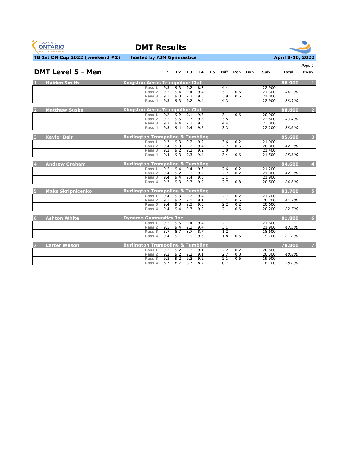



|                          |                                             |     |                |     |     |    |     |          |     |        |        | Page 1                  |
|--------------------------|---------------------------------------------|-----|----------------|-----|-----|----|-----|----------|-----|--------|--------|-------------------------|
| <b>DMT Level 5 - Men</b> |                                             | E1  | E <sub>2</sub> | E3  | E4  | E5 |     | Diff Pen | Bon | Sub    | Total  | Posn                    |
| <b>Haiden Smith</b>      | <b>Kingston Aeros Trampoline Club</b>       |     |                |     |     |    |     |          |     |        | 88.900 | п.                      |
|                          | Pass 1                                      | 9.3 | 9.3            | 9.2 | 8.8 |    | 4.4 |          |     | 22,900 |        |                         |
|                          | Pass <sub>2</sub>                           | 9.5 | 9.4            | 9.4 | 9.4 |    | 3.1 | 0.6      |     | 21.300 | 44.200 |                         |
|                          | Pass 3                                      | 9.1 | 9.3            | 9.2 | 9.3 |    | 3.9 | 0.6      |     | 21.800 |        |                         |
|                          | Pass 4                                      | 9.3 | 9.3            | 9.2 | 9.4 |    | 4.3 |          |     | 22.900 | 88.900 |                         |
| <b>Matthew Susko</b>     | <b>Kingston Aeros Trampoline Club</b>       |     |                |     |     |    |     |          |     |        | 88.600 | $\overline{2}$          |
|                          | Pass 1                                      | 9.2 | 9.2            | 9.1 | 9.3 |    | 3.1 | 0.6      |     | 20.900 |        |                         |
|                          | Pass 2                                      | 9.5 | 9.5            | 9.3 | 9.5 |    | 3.5 |          |     | 22.500 | 43.400 |                         |
|                          | Pass <sub>3</sub>                           | 9.2 | 9.4            | 9.3 | 9.3 |    | 4.4 |          |     | 23.000 |        |                         |
|                          | Pass 4                                      | 9.5 | 9.4            | 9.4 | 9.5 |    | 3.3 |          |     | 22.200 | 88.600 |                         |
| <b>Xavier Bair</b>       | <b>Burlington Trampoline &amp; Tumbling</b> |     |                |     |     |    |     |          |     |        | 85.600 | $\overline{\mathbf{3}}$ |
|                          | Pass 1                                      | 9.3 | 9.3            | 9.2 | 9.2 |    | 3.6 | 0.2      |     | 21.900 |        |                         |
|                          | Pass <sub>2</sub>                           | 9.4 | 9.3            | 9.2 | 9.4 |    | 2.7 | 0.6      |     | 20.800 | 42.700 |                         |
|                          | Pass 3                                      | 9.2 | 9.2            | 9.2 | 9.2 |    | 3.0 |          |     | 21.400 |        |                         |
|                          | Pass 4                                      | 9.4 | 9.3            | 9.3 | 9.4 |    | 3.4 | 0.6      |     | 21.500 | 85.600 |                         |
| <b>Andrew Graham</b>     | <b>Burlington Trampoline &amp; Tumbling</b> |     |                |     |     |    |     |          |     |        | 84.600 | $\overline{\mathbf{4}}$ |
|                          | Pass 1                                      | 9.5 | 9.4            | 9.4 | 9.3 |    | 2.6 | 0.2      |     | 21,200 |        |                         |
|                          | Pass <sub>2</sub>                           | 9.4 | 9.2            | 9.3 | 9.2 |    | 2.7 | 0.2      |     | 21.000 | 42.200 |                         |
|                          | Pass 3                                      | 9.4 | 9.4            | 9.4 | 9.5 |    | 3.1 |          |     | 21.900 |        |                         |
|                          | Pass 4                                      | 9.3 | 9.3            | 9.3 | 9.2 |    | 2.7 | 0.8      |     | 20.500 | 84.600 |                         |
| <b>Maks Skripnicenko</b> | <b>Burlington Trampoline &amp; Tumbling</b> |     |                |     |     |    |     |          |     |        | 82.700 | $\overline{5}$          |
|                          | Pass 1                                      | 9.4 | 9.3            | 9.2 | 9.4 |    | 2.7 | 0.2      |     | 21.200 |        |                         |
|                          | Pass <sub>2</sub>                           | 9.1 | 9.2            | 9.1 | 9.1 |    | 3.1 | 0.6      |     | 20.700 | 41.900 |                         |
|                          | Pass <sub>3</sub>                           | 9.4 | 9.3            | 9.3 | 9.3 |    | 2.2 | 0.2      |     | 20.600 |        |                         |
|                          | Pass 4                                      | 9.4 | 9.4            | 9.3 | 9.2 |    | 2.1 | 0.6      |     | 20.200 | 82.700 |                         |
| <b>Ashton White</b><br>6 | <b>Dynamo Gymnastics Inc.</b>               |     |                |     |     |    |     |          |     |        | 81.800 | $6\overline{6}$         |
|                          | Pass 1                                      | 9.5 | 9.5            | 9.4 | 9.4 |    | 2.7 |          |     | 21.600 |        |                         |
|                          | Pass <sub>2</sub>                           | 9.5 | 9.4            | 9.3 | 9.4 |    | 3.1 |          |     | 21.900 | 43.500 |                         |
|                          | Pass <sub>3</sub>                           | 8.7 | 8.7            | 8.7 | 8.7 |    | 1.2 |          |     | 18.600 |        |                         |
|                          | Pass 4                                      | 9.4 | 9.1            | 9.1 | 9.3 |    | 1.8 | 0.5      |     | 19.700 | 81.800 |                         |
| <b>Carter Wilson</b>     | <b>Burlington Trampoline &amp; Tumbling</b> |     |                |     |     |    |     |          |     |        | 78,800 | 7                       |
|                          | Pass 1                                      | 9.3 | 9.2            | 9.3 | 9.1 |    | 2.2 | 0.2      |     | 20.500 |        |                         |
|                          | Pass <sub>2</sub>                           | 9.2 | 9.2            | 9.2 | 9.1 |    | 2.7 | 0.8      |     | 20.300 | 40.800 |                         |
|                          | Pass 3                                      | 9.3 | 9.2            | 9.2 | 9.2 |    | 2.1 | 0.6      |     | 19.900 |        |                         |
|                          | Pass 4                                      | 8.7 | 8.7            | 8.7 | 8.7 |    | 0.7 |          |     | 18.100 | 78.800 |                         |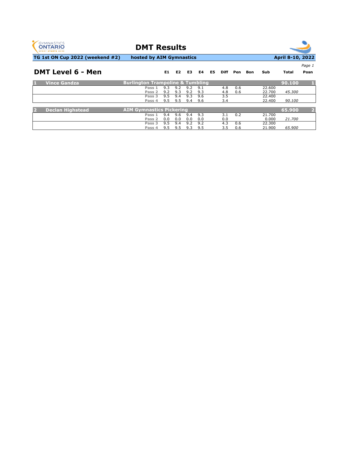

**DMT Results**



**E1 E2 E3 E4 E5 Diff Pen Bon Sub Total Posn**

*Page 1*

**TG 1st ON Cup 2022 (weekend #2) hosted by AIM Gymnastics April 8-10, 2022** 

### **DMT Level 6 - Men**

|                | Vince Gandza.           | <b>Burlington Trampoline &amp; Tumbling</b> |     |     |     |     |     |     |        | 90.100 |  |
|----------------|-------------------------|---------------------------------------------|-----|-----|-----|-----|-----|-----|--------|--------|--|
|                |                         | Pass 1                                      | 9.3 | 9.2 |     | 9.1 | 4.8 | 0.6 | 22,600 |        |  |
|                |                         | Pass 2                                      | 9.2 | 9.3 | 9.2 | 9.3 | 4.8 | 0.6 | 22.700 | 45.300 |  |
|                |                         | Pass 3                                      | 9.5 | 9.4 | 9.3 | 9.6 | 3.5 |     | 22,400 |        |  |
|                |                         | Pass 4                                      | 9.5 | 9.5 | 9.4 | 9.6 | 3.4 |     | 22,400 | 90.100 |  |
|                |                         |                                             |     |     |     |     |     |     |        |        |  |
| $\overline{2}$ | <b>Declan Highstead</b> | <b>AIM Gymnastics Pickering</b>             |     |     |     |     |     |     |        | 65.900 |  |
|                |                         | Pass 1                                      | 9.4 | 9.6 | 9.4 | 9.3 |     | 0.2 | 21.700 |        |  |
|                |                         | Pass 2                                      | 0.0 | 0.0 | 0.0 | 0.0 | 0.0 |     | 0.000  | 21.700 |  |
|                |                         | Pass 3                                      | 9.5 | 9.4 | 9.2 | 9.2 | 4.3 | 0.6 | 22,300 |        |  |
|                |                         | Pass 4                                      | 9.5 | 9.5 |     | 9.5 | 3.5 | 0.6 | 21.900 | 65,900 |  |